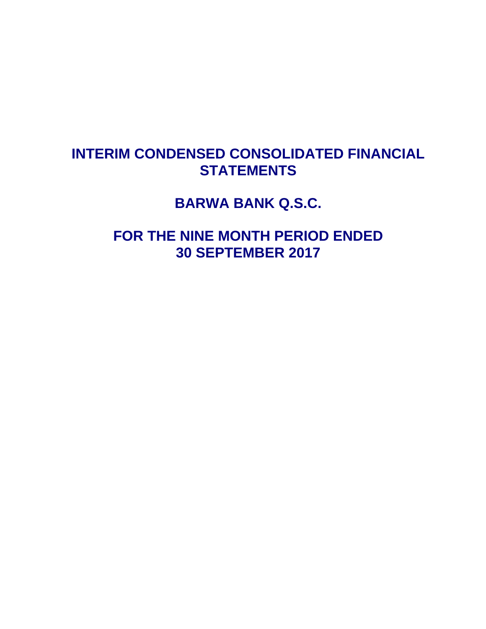# **INTERIM CONDENSED CONSOLIDATED FINANCIAL STATEMENTS**

**BARWA BANK Q.S.C.** 

**FOR THE NINE MONTH PERIOD ENDED 30 SEPTEMBER 2017**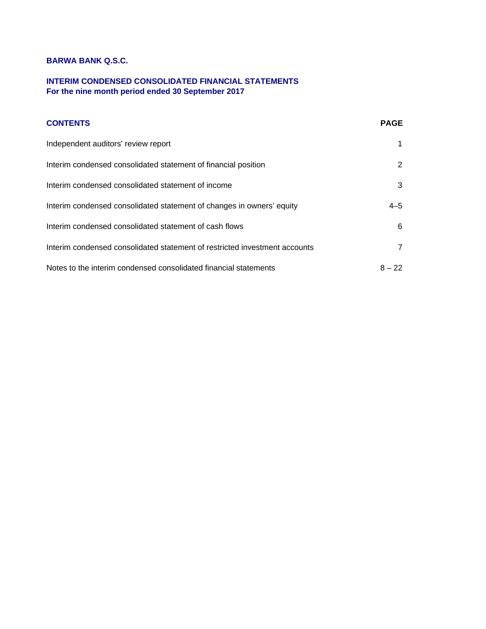# **INTERIM CONDENSED CONSOLIDATED FINANCIAL STATEMENTS For the nine month period ended 30 September 2017**

| <b>CONTENTS</b>                                                            | <b>PAGE</b>    |
|----------------------------------------------------------------------------|----------------|
| Independent auditors' review report                                        |                |
| Interim condensed consolidated statement of financial position             | 2              |
| Interim condensed consolidated statement of income                         | 3              |
| Interim condensed consolidated statement of changes in owners' equity      | $4 - 5$        |
| Interim condensed consolidated statement of cash flows                     | 6              |
| Interim condensed consolidated statement of restricted investment accounts | $\overline{7}$ |
| Notes to the interim condensed consolidated financial statements           | $8 - 22$       |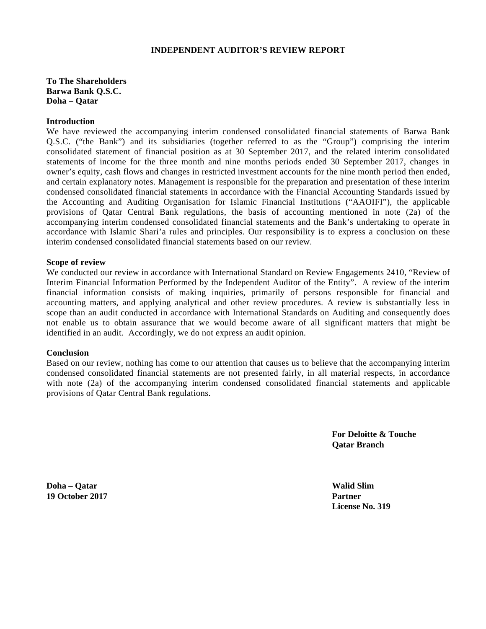## **INDEPENDENT AUDITOR'S REVIEW REPORT**

**To The Shareholders Barwa Bank Q.S.C. Doha – Qatar**

#### **Introduction**

We have reviewed the accompanying interim condensed consolidated financial statements of Barwa Bank Q.S.C. ("the Bank") and its subsidiaries (together referred to as the "Group") comprising the interim consolidated statement of financial position as at 30 September 2017, and the related interim consolidated statements of income for the three month and nine months periods ended 30 September 2017, changes in owner's equity, cash flows and changes in restricted investment accounts for the nine month period then ended, and certain explanatory notes. Management is responsible for the preparation and presentation of these interim condensed consolidated financial statements in accordance with the Financial Accounting Standards issued by the Accounting and Auditing Organisation for Islamic Financial Institutions ("AAOIFI"), the applicable provisions of Qatar Central Bank regulations, the basis of accounting mentioned in note (2a) of the accompanying interim condensed consolidated financial statements and the Bank's undertaking to operate in accordance with Islamic Shari'a rules and principles. Our responsibility is to express a conclusion on these interim condensed consolidated financial statements based on our review.

## **Scope of review**

We conducted our review in accordance with International Standard on Review Engagements 2410, "Review of Interim Financial Information Performed by the Independent Auditor of the Entity". A review of the interim financial information consists of making inquiries, primarily of persons responsible for financial and accounting matters, and applying analytical and other review procedures. A review is substantially less in scope than an audit conducted in accordance with International Standards on Auditing and consequently does not enable us to obtain assurance that we would become aware of all significant matters that might be identified in an audit. Accordingly, we do not express an audit opinion.

## **Conclusion**

Based on our review, nothing has come to our attention that causes us to believe that the accompanying interim condensed consolidated financial statements are not presented fairly, in all material respects, in accordance with note (2a) of the accompanying interim condensed consolidated financial statements and applicable provisions of Qatar Central Bank regulations.

> **For Deloitte & Touche Qatar Branch**

**Doha – Qatar Walid Slim 19 October 2017 Partner** 

 **License No. 319**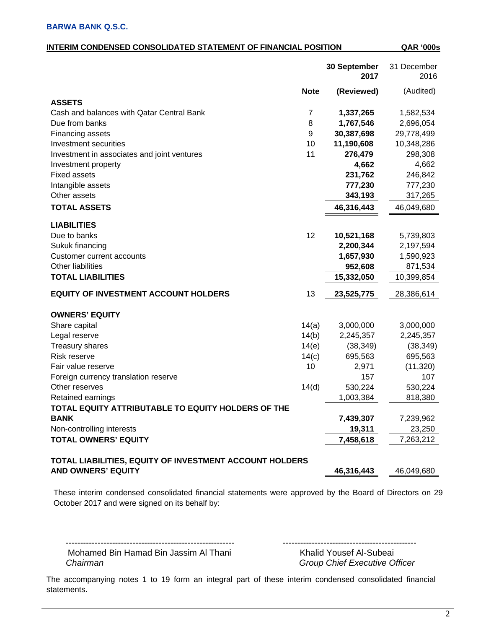| INTERIM CONDENSED CONSOLIDATED STATEMENT OF FINANCIAL POSITION | <b>QAR '000s</b> |
|----------------------------------------------------------------|------------------|
|                                                                |                  |

|                                                         |             | 30 September<br>2017 | 31 December<br>2016 |
|---------------------------------------------------------|-------------|----------------------|---------------------|
|                                                         | <b>Note</b> | (Reviewed)           | (Audited)           |
| <b>ASSETS</b>                                           |             |                      |                     |
| Cash and balances with Qatar Central Bank               | 7           | 1,337,265            | 1,582,534           |
| Due from banks                                          | 8           | 1,767,546            | 2,696,054           |
| Financing assets                                        | 9           | 30,387,698           | 29,778,499          |
| Investment securities                                   | 10          | 11,190,608           | 10,348,286          |
| Investment in associates and joint ventures             | 11          | 276,479              | 298,308             |
| Investment property                                     |             | 4,662                | 4,662               |
| <b>Fixed assets</b>                                     |             | 231,762              | 246,842             |
| Intangible assets                                       |             | 777,230              | 777,230             |
| Other assets                                            |             | 343,193              | 317,265             |
| <b>TOTAL ASSETS</b>                                     |             | 46,316,443           | 46,049,680          |
| <b>LIABILITIES</b>                                      |             |                      |                     |
| Due to banks                                            | 12          | 10,521,168           | 5,739,803           |
| Sukuk financing                                         |             | 2,200,344            | 2,197,594           |
| Customer current accounts                               |             | 1,657,930            | 1,590,923           |
| Other liabilities                                       |             | 952,608              | 871,534             |
| <b>TOTAL LIABILITIES</b>                                |             | 15,332,050           | 10,399,854          |
| <b>EQUITY OF INVESTMENT ACCOUNT HOLDERS</b>             | 13          | 23,525,775           | 28,386,614          |
| <b>OWNERS' EQUITY</b>                                   |             |                      |                     |
| Share capital                                           | 14(a)       | 3,000,000            | 3,000,000           |
| Legal reserve                                           | 14(b)       | 2,245,357            | 2,245,357           |
| <b>Treasury shares</b>                                  | 14(e)       | (38, 349)            | (38, 349)           |
| Risk reserve                                            | 14(c)       | 695,563              | 695,563             |
| Fair value reserve                                      | 10          | 2,971                | (11, 320)           |
| Foreign currency translation reserve                    |             | 157                  | 107                 |
| Other reserves                                          | 14(d)       | 530,224              | 530,224             |
| Retained earnings                                       |             | 1,003,384            | 818,380             |
| TOTAL EQUITY ATTRIBUTABLE TO EQUITY HOLDERS OF THE      |             |                      |                     |
| <b>BANK</b>                                             |             | 7,439,307            | 7,239,962           |
| Non-controlling interests                               |             | 19,311               | 23,250              |
| <b>TOTAL OWNERS' EQUITY</b>                             |             | 7,458,618            | 7,263,212           |
| TOTAL LIABILITIES, EQUITY OF INVESTMENT ACCOUNT HOLDERS |             |                      |                     |
| <b>AND OWNERS' EQUITY</b>                               |             | 46,316,443           | 46,049,680          |

These interim condensed consolidated financial statements were approved by the Board of Directors on 29 October 2017 and were signed on its behalf by:

 ---------------------------------------------------------- ---------------------------------------------- Mohamed Bin Hamad Bin Jassim Al Thani  *Chairman Group Chief Executive Officer*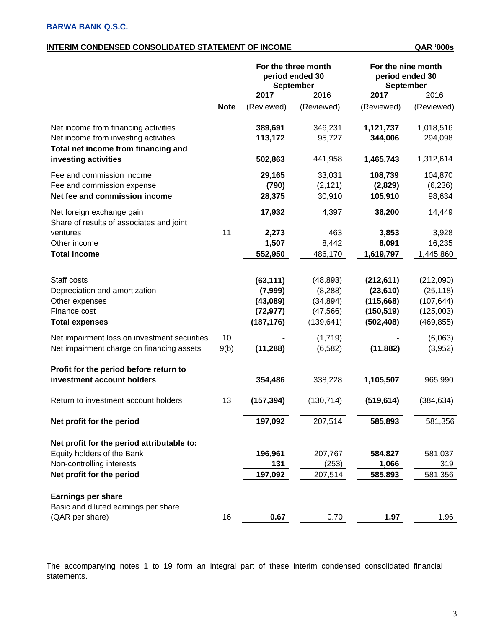# **INTERIM CONDENSED CONSOLIDATED STATEMENT OF INCOME QAR '000s**

|                                                                                                     |             |                    | For the three month<br>period ended 30<br>September | For the nine month<br>period ended 30<br><b>September</b> |                      |
|-----------------------------------------------------------------------------------------------------|-------------|--------------------|-----------------------------------------------------|-----------------------------------------------------------|----------------------|
|                                                                                                     |             | 2017               | 2016                                                | 2017                                                      | 2016                 |
|                                                                                                     | <b>Note</b> | (Reviewed)         | (Reviewed)                                          | (Reviewed)                                                | (Reviewed)           |
| Net income from financing activities                                                                |             | 389,691            | 346,231                                             | 1,121,737                                                 | 1,018,516            |
| Net income from investing activities<br>Total net income from financing and<br>investing activities |             | 113,172<br>502,863 | 95,727<br>441,958                                   | 344,006<br>1,465,743                                      | 294,098<br>1,312,614 |
| Fee and commission income                                                                           |             | 29,165             | 33,031                                              | 108,739                                                   | 104,870              |
| Fee and commission expense                                                                          |             | (790)              | (2, 121)                                            | (2,829)                                                   | (6, 236)             |
| Net fee and commission income                                                                       |             | 28,375             | 30,910                                              | 105,910                                                   | 98,634               |
| Net foreign exchange gain<br>Share of results of associates and joint                               |             | 17,932             | 4,397                                               | 36,200                                                    | 14,449               |
| ventures                                                                                            | 11          | 2,273              | 463                                                 | 3,853                                                     | 3,928                |
| Other income                                                                                        |             | 1,507              | 8,442                                               | 8,091                                                     | 16,235               |
| <b>Total income</b>                                                                                 |             | 552,950            | 486,170                                             | 1,619,797                                                 | 1,445,860            |
|                                                                                                     |             |                    |                                                     |                                                           |                      |
| Staff costs                                                                                         |             | (63, 111)          | (48, 893)                                           | (212, 611)                                                | (212,090)            |
| Depreciation and amortization                                                                       |             | (7,999)            | (8, 288)                                            | (23, 610)                                                 | (25, 118)            |
| Other expenses                                                                                      |             | (43,089)           | (34, 894)                                           | (115,668)                                                 | (107, 644)           |
| Finance cost                                                                                        |             | (72, 977)          | (47, 566)                                           | (150, 519)                                                | (125,003)            |
| <b>Total expenses</b>                                                                               |             | (187, 176)         | (139, 641)                                          | (502, 408)                                                | (469, 855)           |
| Net impairment loss on investment securities                                                        | 10          |                    | (1,719)                                             |                                                           | (6,063)              |
| Net impairment charge on financing assets                                                           | 9(b)        | (11, 288)          | (6, 582)                                            | (11, 882)                                                 | (3,952)              |
| Profit for the period before return to<br>investment account holders                                |             | 354,486            | 338,228                                             | 1,105,507                                                 | 965,990              |
| Return to investment account holders                                                                | 13          | (157, 394)         | (130, 714)                                          | (519, 614)                                                | (384, 634)           |
| Net profit for the period                                                                           |             | 197,092            | 207,514                                             | 585,893                                                   | 581,356              |
|                                                                                                     |             |                    |                                                     |                                                           |                      |
| Net profit for the period attributable to:<br>Equity holders of the Bank                            |             |                    |                                                     |                                                           |                      |
| Non-controlling interests                                                                           |             | 196,961<br>131     | 207,767<br>(253)                                    | 584,827                                                   | 581,037              |
| Net profit for the period                                                                           |             |                    |                                                     | 1,066<br>585,893                                          | 319<br>581,356       |
|                                                                                                     |             | 197,092            | 207,514                                             |                                                           |                      |
| <b>Earnings per share</b>                                                                           |             |                    |                                                     |                                                           |                      |
| Basic and diluted earnings per share                                                                |             |                    |                                                     |                                                           |                      |
| (QAR per share)                                                                                     | 16          | 0.67               | 0.70                                                | 1.97                                                      | 1.96                 |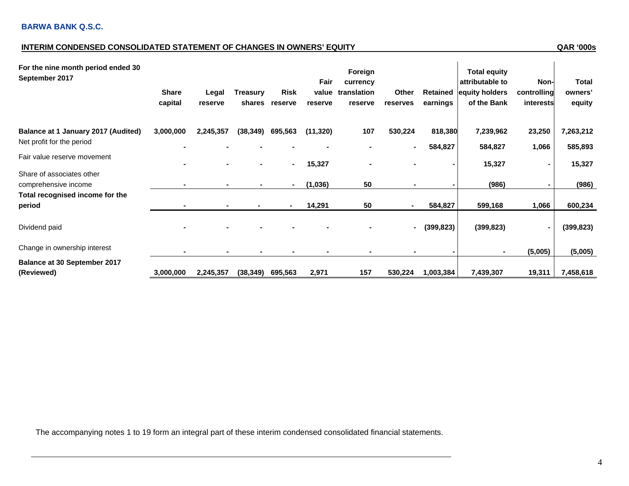# **INTERIM CONDENSED CONSOLIDATED STATEMENT OF CHANGES IN OWNERS' EQUITY QAR '000s**

| For the nine month period ended 30<br>September 2017 | <b>Share</b><br>capital | Legal<br>reserve | Treasury<br>shares | <b>Risk</b><br>reserve | Fair<br>value<br>reserve | Foreign<br>currency<br>translation<br>reserve | <b>Other</b><br>reserves | Retained<br>earnings | <b>Total equity</b><br>attributable to<br>equity holders<br>of the Bank | Non-<br>controlling<br>interests | Total<br>owners'<br>equity |
|------------------------------------------------------|-------------------------|------------------|--------------------|------------------------|--------------------------|-----------------------------------------------|--------------------------|----------------------|-------------------------------------------------------------------------|----------------------------------|----------------------------|
| Balance at 1 January 2017 (Audited)                  | 3,000,000               | 2,245,357        | (38, 349)          | 695,563                | (11, 320)                | 107                                           | 530,224                  | 818,380              | 7,239,962                                                               | 23,250                           | 7,263,212                  |
| Net profit for the period                            |                         |                  |                    |                        |                          |                                               | $\blacksquare$           | 584,827              | 584,827                                                                 | 1,066                            | 585,893                    |
| Fair value reserve movement                          |                         |                  |                    | ۰.                     | 15,327                   |                                               |                          |                      | 15,327                                                                  |                                  | 15,327                     |
| Share of associates other<br>comprehensive income    |                         |                  |                    |                        | (1,036)                  | 50                                            |                          |                      | (986)                                                                   |                                  | (986)                      |
| Total recognised income for the<br>period            |                         |                  |                    | $\blacksquare$         | 14,291                   | 50                                            | $\blacksquare$           | 584,827              | 599,168                                                                 | 1,066                            | 600,234                    |
| Dividend paid                                        |                         |                  |                    |                        |                          |                                               | $\blacksquare$           | (399, 823)           | (399, 823)                                                              |                                  | (399, 823)                 |
| Change in ownership interest                         |                         |                  |                    |                        |                          |                                               |                          |                      |                                                                         | (5,005)                          | (5,005)                    |
| <b>Balance at 30 September 2017</b>                  |                         |                  |                    |                        |                          |                                               |                          |                      |                                                                         |                                  |                            |
| (Reviewed)                                           | 3,000,000               | 2,245,357        | (38, 349)          | 695,563                | 2,971                    | 157                                           | 530,224                  | 1,003,384            | 7,439,307                                                               | 19,311                           | 7,458,618                  |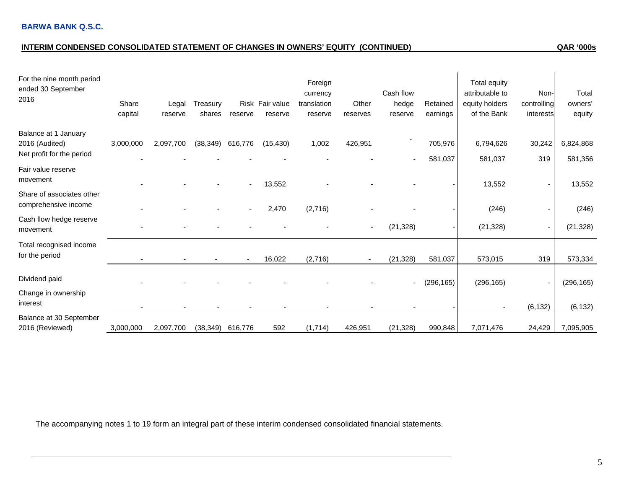# INTERIM CONDENSED CONSOLIDATED STATEMENT OF CHANGES IN OWNERS' EQUITY (CONTINUED) QAR '000s

| For the nine month period<br>ended 30 September<br>2016             | Share<br>capital | Legal<br>reserve | Treasury<br>shares | reserve | Risk Fair value<br>reserve | Foreign<br>currency<br>translation<br>reserve | Other<br>reserves | Cash flow<br>hedge<br>reserve | Retained<br>earnings | Total equity<br>attributable to<br>equity holders<br>of the Bank | Non-<br>controlling<br>interests | Total<br>owners'<br>equity |
|---------------------------------------------------------------------|------------------|------------------|--------------------|---------|----------------------------|-----------------------------------------------|-------------------|-------------------------------|----------------------|------------------------------------------------------------------|----------------------------------|----------------------------|
| Balance at 1 January<br>2016 (Audited)<br>Net profit for the period | 3,000,000        | 2,097,700        | (38, 349)          | 616,776 | (15, 430)                  | 1,002                                         | 426,951           |                               | 705,976              | 6,794,626                                                        | 30,242                           | 6,824,868                  |
| Fair value reserve<br>movement                                      |                  |                  |                    |         | 13,552                     |                                               |                   |                               | 581,037              | 581,037<br>13,552                                                | 319                              | 581,356<br>13,552          |
| Share of associates other<br>comprehensive income                   |                  |                  |                    |         | 2,470                      | (2,716)                                       |                   |                               |                      | (246)                                                            |                                  | (246)                      |
| Cash flow hedge reserve<br>movement                                 |                  |                  |                    |         |                            |                                               |                   | (21, 328)                     |                      | (21, 328)                                                        |                                  | (21, 328)                  |
| Total recognised income<br>for the period                           |                  |                  |                    |         | 16,022                     | (2,716)                                       |                   | (21, 328)                     | 581,037              | 573,015                                                          | 319                              | 573,334                    |
| Dividend paid                                                       |                  |                  |                    |         |                            |                                               |                   |                               | (296, 165)           | (296, 165)                                                       |                                  | (296, 165)                 |
| Change in ownership<br>interest                                     |                  |                  |                    |         |                            |                                               |                   |                               |                      |                                                                  | (6, 132)                         | (6, 132)                   |
| Balance at 30 September<br>2016 (Reviewed)                          | 3,000,000        | 2,097,700        | (38, 349)          | 616,776 | 592                        | (1,714)                                       | 426,951           | (21, 328)                     | 990,848              | 7,071,476                                                        | 24,429                           | 7,095,905                  |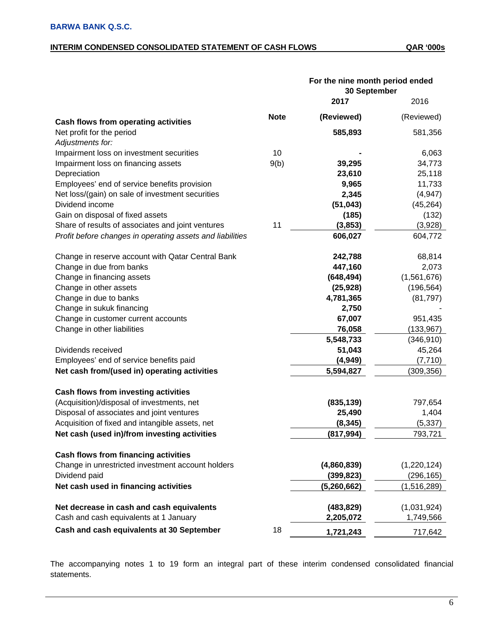# **INTERIM CONDENSED CONSOLIDATED STATEMENT OF CASH FLOWS QAR '000s**

|                                                           |             | For the nine month period ended |             |
|-----------------------------------------------------------|-------------|---------------------------------|-------------|
|                                                           |             | 30 September                    |             |
|                                                           |             | 2017                            | 2016        |
| <b>Cash flows from operating activities</b>               | <b>Note</b> | (Reviewed)                      | (Reviewed)  |
| Net profit for the period                                 |             | 585,893                         | 581,356     |
| Adjustments for:                                          |             |                                 |             |
| Impairment loss on investment securities                  | 10          |                                 | 6,063       |
| Impairment loss on financing assets                       | 9(b)        | 39,295                          | 34,773      |
| Depreciation                                              |             | 23,610                          | 25,118      |
| Employees' end of service benefits provision              |             | 9,965                           | 11,733      |
| Net loss/(gain) on sale of investment securities          |             | 2,345                           | (4, 947)    |
| Dividend income                                           |             | (51, 043)                       | (45, 264)   |
| Gain on disposal of fixed assets                          |             | (185)                           | (132)       |
| Share of results of associates and joint ventures         | 11          | (3, 853)                        | (3,928)     |
| Profit before changes in operating assets and liabilities |             | 606,027                         | 604,772     |
| Change in reserve account with Qatar Central Bank         |             | 242,788                         | 68,814      |
| Change in due from banks                                  |             | 447,160                         | 2,073       |
| Change in financing assets                                |             | (648, 494)                      | (1,561,676) |
| Change in other assets                                    |             | (25, 928)                       | (196, 564)  |
| Change in due to banks                                    |             | 4,781,365                       | (81, 797)   |
| Change in sukuk financing                                 |             | 2,750                           |             |
| Change in customer current accounts                       |             | 67,007                          | 951,435     |
| Change in other liabilities                               |             | 76,058                          | (133, 967)  |
|                                                           |             | 5,548,733                       | (346, 910)  |
| Dividends received                                        |             | 51,043                          | 45,264      |
| Employees' end of service benefits paid                   |             | (4, 949)                        | (7, 710)    |
| Net cash from/(used in) operating activities              |             | 5,594,827                       | (309, 356)  |
| Cash flows from investing activities                      |             |                                 |             |
| (Acquisition)/disposal of investments, net                |             | (835, 139)                      | 797,654     |
| Disposal of associates and joint ventures                 |             | 25,490                          | 1,404       |
| Acquisition of fixed and intangible assets, net           |             | (8, 345)                        | (5, 337)    |
| Net cash (used in)/from investing activities              |             | (817, 994)                      | 793,721     |
| <b>Cash flows from financing activities</b>               |             |                                 |             |
| Change in unrestricted investment account holders         |             | (4,860,839)                     | (1,220,124) |
| Dividend paid                                             |             | (399, 823)                      | (296, 165)  |
| Net cash used in financing activities                     |             | (5,260,662)                     | (1,516,289) |
|                                                           |             |                                 |             |
| Net decrease in cash and cash equivalents                 |             | (483, 829)                      | (1,031,924) |
| Cash and cash equivalents at 1 January                    |             | 2,205,072                       | 1,749,566   |
| Cash and cash equivalents at 30 September                 | 18          | 1,721,243                       | 717,642     |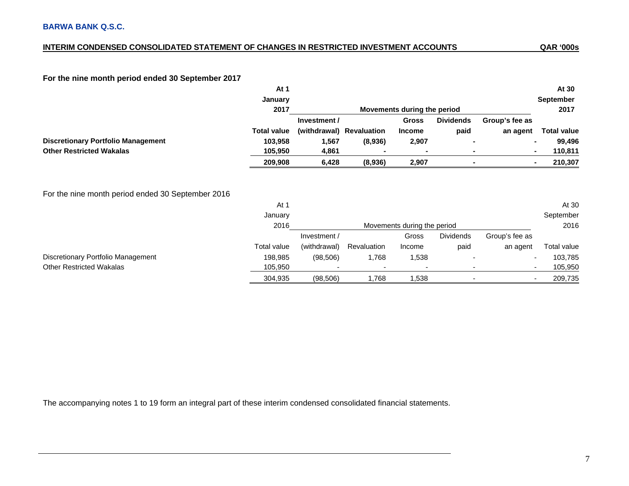# **INTERIM CONDENSED CONSOLIDATED STATEMENT OF CHANGES IN RESTRICTED INVESTMENT ACCOUNTS**

**For the nine month period ended 30 September 2017** 

|                                           | At 1               |              |                          |                             |                  |                | At 30                     |
|-------------------------------------------|--------------------|--------------|--------------------------|-----------------------------|------------------|----------------|---------------------------|
|                                           | January            |              |                          |                             |                  |                | <b>September</b>          |
|                                           | 2017               |              |                          | Movements during the period |                  |                | 2017                      |
|                                           |                    | Investment / |                          | Gross                       | <b>Dividends</b> | Group's fee as |                           |
|                                           | <b>Total value</b> |              | (withdrawal) Revaluation | <b>Income</b>               | paid             | an agent       | <b>Total value</b>        |
| <b>Discretionary Portfolio Management</b> | 103,958            | 1,567        | (8,936)                  | 2,907                       |                  |                | 99,496<br>$\blacksquare$  |
| <b>Other Restricted Wakalas</b>           | 105,950            | 4,861        |                          |                             |                  |                | 110,811<br>$\blacksquare$ |
|                                           | 209,908            | 6,428        | (8,936)                  | 2,907                       |                  |                | 210,307                   |

For the nine month period ended 30 September 2016

|                                    | At 1               |              |             |                             |                  |                          | At 30       |
|------------------------------------|--------------------|--------------|-------------|-----------------------------|------------------|--------------------------|-------------|
|                                    | January            |              |             |                             |                  |                          | September   |
|                                    | 2016               |              |             | Movements during the period |                  |                          | 2016        |
|                                    |                    | Investment / |             | Gross                       | <b>Dividends</b> | Group's fee as           |             |
|                                    | <b>Total value</b> | (withdrawal) | Revaluation | Income                      | paid             | an agent                 | Total value |
| Discretionary Portfolio Management | 198,985            | (98, 506)    | .768،       | 1,538                       |                  | $\overline{\phantom{0}}$ | 103,785     |
| <b>Other Restricted Wakalas</b>    | 105,950            |              |             |                             |                  | $\overline{\phantom{0}}$ | 105,950     |
|                                    | 304,935            | (98, 506)    | 768. ا      | 1,538                       |                  |                          | 209,735     |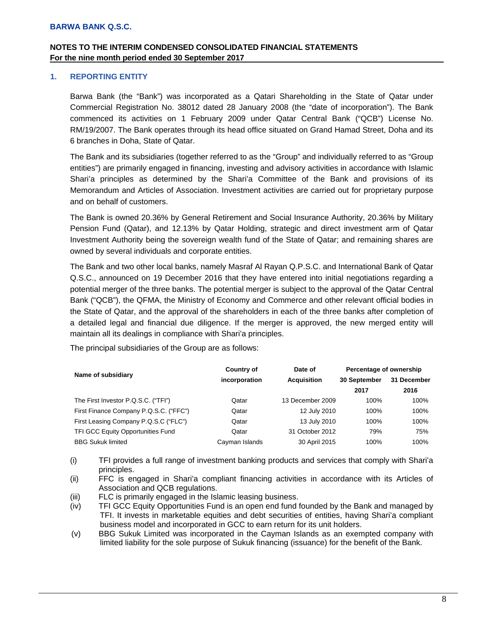# **1. REPORTING ENTITY**

Barwa Bank (the "Bank") was incorporated as a Qatari Shareholding in the State of Qatar under Commercial Registration No. 38012 dated 28 January 2008 (the "date of incorporation"). The Bank commenced its activities on 1 February 2009 under Qatar Central Bank ("QCB") License No. RM/19/2007. The Bank operates through its head office situated on Grand Hamad Street, Doha and its 6 branches in Doha, State of Qatar.

The Bank and its subsidiaries (together referred to as the "Group" and individually referred to as "Group entities") are primarily engaged in financing, investing and advisory activities in accordance with Islamic Shari'a principles as determined by the Shari'a Committee of the Bank and provisions of its Memorandum and Articles of Association. Investment activities are carried out for proprietary purpose and on behalf of customers.

The Bank is owned 20.36% by General Retirement and Social Insurance Authority, 20.36% by Military Pension Fund (Qatar), and 12.13% by Qatar Holding, strategic and direct investment arm of Qatar Investment Authority being the sovereign wealth fund of the State of Qatar; and remaining shares are owned by several individuals and corporate entities.

The Bank and two other local banks, namely Masraf Al Rayan Q.P.S.C. and International Bank of Qatar Q.S.C., announced on 19 December 2016 that they have entered into initial negotiations regarding a potential merger of the three banks. The potential merger is subject to the approval of the Qatar Central Bank ("QCB"), the QFMA, the Ministry of Economy and Commerce and other relevant official bodies in the State of Qatar, and the approval of the shareholders in each of the three banks after completion of a detailed legal and financial due diligence. If the merger is approved, the new merged entity will maintain all its dealings in compliance with Shari'a principles.

The principal subsidiaries of the Group are as follows:

|                                        | Country of     | Date of            | Percentage of ownership |             |  |  |
|----------------------------------------|----------------|--------------------|-------------------------|-------------|--|--|
| Name of subsidiary                     | incorporation  | <b>Acquisition</b> | 30 September            | 31 December |  |  |
|                                        |                |                    | 2017                    | 2016        |  |  |
| The First Investor P.Q.S.C. ("TFI")    | Qatar          | 13 December 2009   | 100%                    | 100%        |  |  |
| First Finance Company P.Q.S.C. ("FFC") | Qatar          | 12 July 2010       | 100%                    | 100%        |  |  |
| First Leasing Company P.Q.S.C ("FLC")  | Qatar          | 13 July 2010       | 100%                    | 100%        |  |  |
| TFI GCC Equity Opportunities Fund      | Qatar          | 31 October 2012    | 79%                     | 75%         |  |  |
| <b>BBG Sukuk limited</b>               | Cayman Islands | 30 April 2015      | 100%                    | 100%        |  |  |

 (i) TFI provides a full range of investment banking products and services that comply with Shari'a principles.

- (ii) FFC is engaged in Shari'a compliant financing activities in accordance with its Articles of Association and QCB regulations.
- (iii) FLC is primarily engaged in the Islamic leasing business.
- (iv) TFI GCC Equity Opportunities Fund is an open end fund founded by the Bank and managed by TFI. It invests in marketable equities and debt securities of entities, having Shari'a compliant business model and incorporated in GCC to earn return for its unit holders.
- (v) BBG Sukuk Limited was incorporated in the Cayman Islands as an exempted company with limited liability for the sole purpose of Sukuk financing (issuance) for the benefit of the Bank.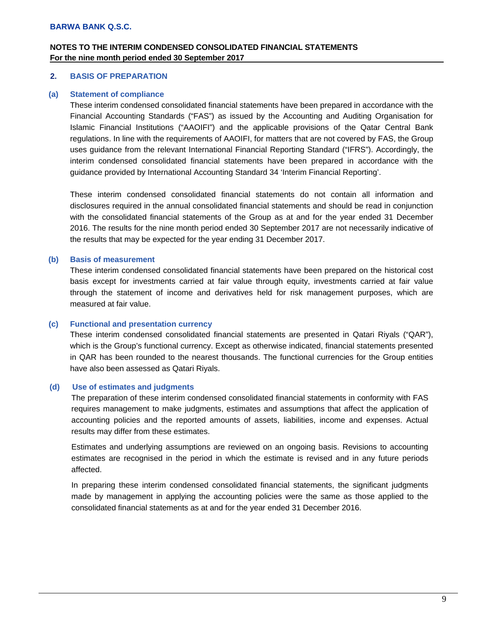#### **2. BASIS OF PREPARATION**

#### **(a) Statement of compliance**

These interim condensed consolidated financial statements have been prepared in accordance with the Financial Accounting Standards ("FAS") as issued by the Accounting and Auditing Organisation for Islamic Financial Institutions ("AAOIFI") and the applicable provisions of the Qatar Central Bank regulations. In line with the requirements of AAOIFI, for matters that are not covered by FAS, the Group uses guidance from the relevant International Financial Reporting Standard ("IFRS"). Accordingly, the interim condensed consolidated financial statements have been prepared in accordance with the guidance provided by International Accounting Standard 34 'Interim Financial Reporting'.

These interim condensed consolidated financial statements do not contain all information and disclosures required in the annual consolidated financial statements and should be read in conjunction with the consolidated financial statements of the Group as at and for the year ended 31 December 2016. The results for the nine month period ended 30 September 2017 are not necessarily indicative of the results that may be expected for the year ending 31 December 2017.

## **(b) Basis of measurement**

These interim condensed consolidated financial statements have been prepared on the historical cost basis except for investments carried at fair value through equity, investments carried at fair value through the statement of income and derivatives held for risk management purposes, which are measured at fair value.

## **(c) Functional and presentation currency**

These interim condensed consolidated financial statements are presented in Qatari Riyals ("QAR"), which is the Group's functional currency. Except as otherwise indicated, financial statements presented in QAR has been rounded to the nearest thousands. The functional currencies for the Group entities have also been assessed as Qatari Riyals.

## **(d) Use of estimates and judgments**

The preparation of these interim condensed consolidated financial statements in conformity with FAS requires management to make judgments, estimates and assumptions that affect the application of accounting policies and the reported amounts of assets, liabilities, income and expenses. Actual results may differ from these estimates.

Estimates and underlying assumptions are reviewed on an ongoing basis. Revisions to accounting estimates are recognised in the period in which the estimate is revised and in any future periods affected.

In preparing these interim condensed consolidated financial statements, the significant judgments made by management in applying the accounting policies were the same as those applied to the consolidated financial statements as at and for the year ended 31 December 2016.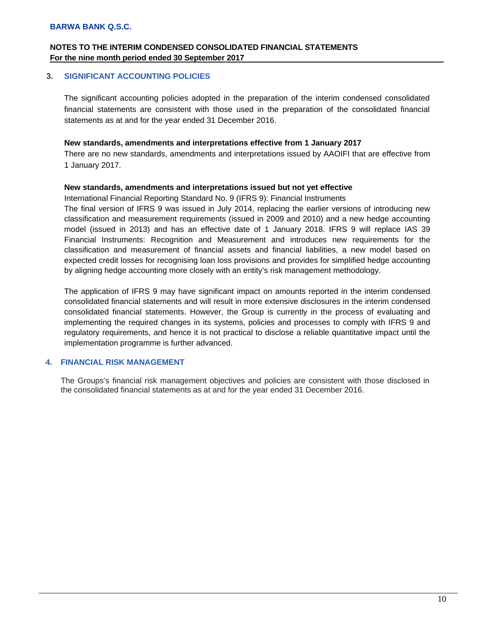# **3. SIGNIFICANT ACCOUNTING POLICIES**

The significant accounting policies adopted in the preparation of the interim condensed consolidated financial statements are consistent with those used in the preparation of the consolidated financial statements as at and for the year ended 31 December 2016.

## **New standards, amendments and interpretations effective from 1 January 2017**

There are no new standards, amendments and interpretations issued by AAOIFI that are effective from 1 January 2017.

# **New standards, amendments and interpretations issued but not yet effective**

International Financial Reporting Standard No. 9 (IFRS 9): Financial Instruments

The final version of IFRS 9 was issued in July 2014, replacing the earlier versions of introducing new classification and measurement requirements (issued in 2009 and 2010) and a new hedge accounting model (issued in 2013) and has an effective date of 1 January 2018. IFRS 9 will replace IAS 39 Financial Instruments: Recognition and Measurement and introduces new requirements for the classification and measurement of financial assets and financial liabilities, a new model based on expected credit losses for recognising loan loss provisions and provides for simplified hedge accounting by aligning hedge accounting more closely with an entity's risk management methodology.

The application of IFRS 9 may have significant impact on amounts reported in the interim condensed consolidated financial statements and will result in more extensive disclosures in the interim condensed consolidated financial statements. However, the Group is currently in the process of evaluating and implementing the required changes in its systems, policies and processes to comply with IFRS 9 and regulatory requirements, and hence it is not practical to disclose a reliable quantitative impact until the implementation programme is further advanced.

# **4. FINANCIAL RISK MANAGEMENT**

The Groups's financial risk management objectives and policies are consistent with those disclosed in the consolidated financial statements as at and for the year ended 31 December 2016.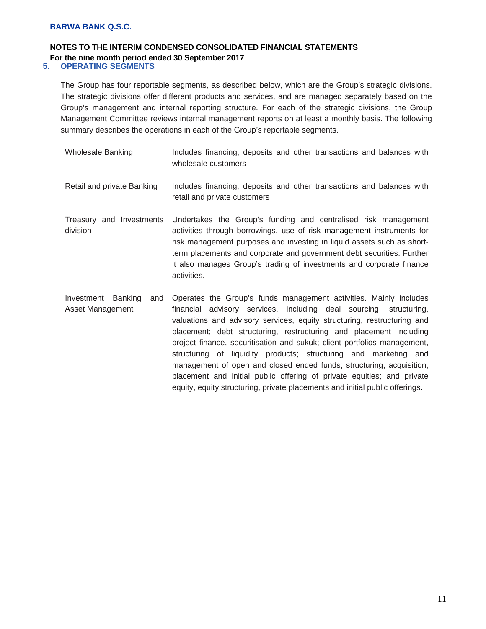# **NOTES TO THE INTERIM CONDENSED CONSOLIDATED FINANCIAL STATEMENTS For the nine month period ended 30 September 2017**<br>5. **OPERATING SEGMENTS**

# **5. OPERATING SEGMENTS**

The Group has four reportable segments, as described below, which are the Group's strategic divisions. The strategic divisions offer different products and services, and are managed separately based on the Group's management and internal reporting structure. For each of the strategic divisions, the Group Management Committee reviews internal management reports on at least a monthly basis. The following summary describes the operations in each of the Group's reportable segments.

| <b>Wholesale Banking</b>                      | Includes financing, deposits and other transactions and balances with<br>wholesale customers                                                                                                                                                                                                                                                                                                                                                                                                                     |
|-----------------------------------------------|------------------------------------------------------------------------------------------------------------------------------------------------------------------------------------------------------------------------------------------------------------------------------------------------------------------------------------------------------------------------------------------------------------------------------------------------------------------------------------------------------------------|
| Retail and private Banking                    | Includes financing, deposits and other transactions and balances with<br>retail and private customers                                                                                                                                                                                                                                                                                                                                                                                                            |
| Treasury and Investments<br>division          | Undertakes the Group's funding and centralised risk management<br>activities through borrowings, use of risk management instruments for<br>risk management purposes and investing in liquid assets such as short-<br>term placements and corporate and government debt securities. Further<br>it also manages Group's trading of investments and corporate finance<br>activities.                                                                                                                                |
| Investment Banking<br>and<br>Asset Management | Operates the Group's funds management activities. Mainly includes<br>financial advisory services, including deal sourcing, structuring,<br>valuations and advisory services, equity structuring, restructuring and<br>placement; debt structuring, restructuring and placement including<br>project finance, securitisation and sukuk; client portfolios management,<br>structuring of liquidity products; structuring and marketing and<br>management of open and closed ended funds; structuring, acquisition, |

placement and initial public offering of private equities; and private equity, equity structuring, private placements and initial public offerings.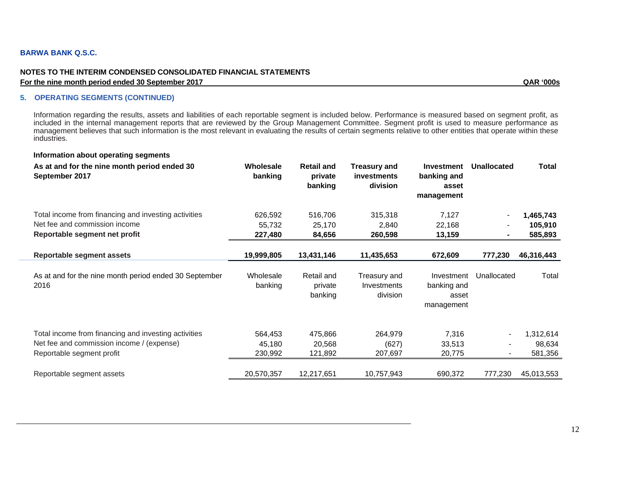#### **NOTES TO THE INTERIM CONDENSED CONSOLIDATED FINANCIAL STATEMENTS For the nine month period ended 30 September 2017 QAR '000s**

#### **5. OPERATING SEGMENTS (CONTINUED)**

Information regarding the results, assets and liabilities of each reportable segment is included below. Performance is measured based on segment profit, as included in the internal management reports that are reviewed by the Group Management Committee. Segment profit is used to measure performance as management believes that such information is the most relevant in evaluating the results of certain segments relative to other entities that operate within these industries.

#### **Information about operating segments**

| As at and for the nine month period ended 30<br>September 2017                                                                 | Wholesale<br>banking         | <b>Retail and</b><br>private<br>banking | <b>Treasury and</b><br>investments<br>division | <b>Investment</b><br>banking and<br>asset<br>management | <b>Unallocated</b> | Total                          |
|--------------------------------------------------------------------------------------------------------------------------------|------------------------------|-----------------------------------------|------------------------------------------------|---------------------------------------------------------|--------------------|--------------------------------|
| Total income from financing and investing activities                                                                           | 626,592                      | 516,706                                 | 315,318                                        | 7,127                                                   | $\blacksquare$     | 1,465,743                      |
| Net fee and commission income                                                                                                  | 55,732                       | 25,170                                  | 2,840                                          | 22,168                                                  |                    | 105,910                        |
| Reportable segment net profit                                                                                                  | 227,480                      | 84,656                                  | 260,598                                        | 13,159                                                  |                    | 585,893                        |
| Reportable segment assets                                                                                                      | 19,999,805                   | 13,431,146                              | 11,435,653                                     | 672,609                                                 | 777,230            | 46,316,443                     |
| As at and for the nine month period ended 30 September<br>2016                                                                 | Wholesale<br>banking         | Retail and<br>private<br>banking        | Treasury and<br>Investments<br>division        | Investment<br>banking and<br>asset<br>management        | Unallocated        | Total                          |
| Total income from financing and investing activities<br>Net fee and commission income / (expense)<br>Reportable segment profit | 564,453<br>45,180<br>230,992 | 475,866<br>20,568<br>121,892            | 264,979<br>(627)<br>207,697                    | 7,316<br>33,513<br>20,775                               |                    | 1,312,614<br>98,634<br>581,356 |
| Reportable segment assets                                                                                                      | 20,570,357                   | 12,217,651                              | 10,757,943                                     | 690,372                                                 | 777,230            | 45,013,553                     |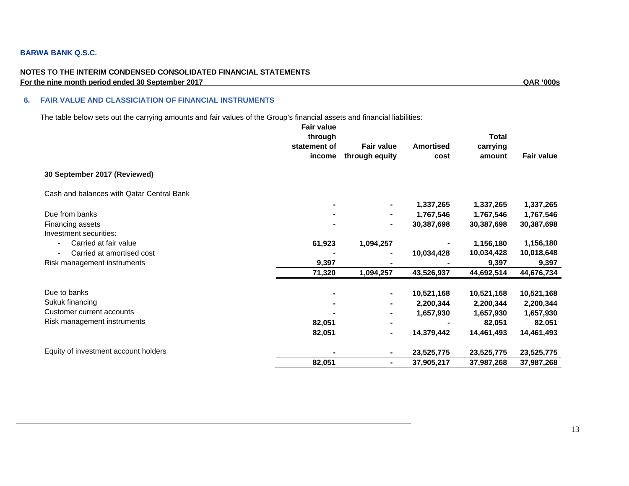#### **NOTES TO THE INTERIM CONDENSED CONSOLIDATED FINANCIAL STATEMENTS For the nine month period ended 30 September 2017 QAR '000s**

#### **6. FAIR VALUE AND CLASSICIATION OF FINANCIAL INSTRUMENTS**

The table below sets out the carrying amounts and fair values of the Group's financial assets and financial liabilities:

|                                           | <b>Fair value</b><br>through<br>statement of | <b>Fair value</b> | <b>Amortised</b> | <b>Total</b><br>carrying |                   |
|-------------------------------------------|----------------------------------------------|-------------------|------------------|--------------------------|-------------------|
|                                           | income                                       | through equity    | cost             | amount                   | <b>Fair value</b> |
| 30 September 2017 (Reviewed)              |                                              |                   |                  |                          |                   |
| Cash and balances with Qatar Central Bank |                                              |                   |                  |                          |                   |
|                                           |                                              | ٠                 | 1,337,265        | 1,337,265                | 1,337,265         |
| Due from banks                            |                                              | ٠                 | 1,767,546        | 1,767,546                | 1,767,546         |
| Financing assets                          |                                              | ۰                 | 30,387,698       | 30,387,698               | 30,387,698        |
| Investment securities:                    |                                              |                   |                  |                          |                   |
| Carried at fair value                     | 61,923                                       | 1,094,257         |                  | 1,156,180                | 1,156,180         |
| Carried at amortised cost                 |                                              |                   | 10,034,428       | 10,034,428               | 10,018,648        |
| Risk management instruments               | 9,397                                        |                   |                  | 9,397                    | 9,397             |
|                                           | 71,320                                       | 1,094,257         | 43,526,937       | 44,692,514               | 44,676,734        |
| Due to banks                              |                                              |                   | 10,521,168       | 10,521,168               | 10,521,168        |
| Sukuk financing                           |                                              |                   | 2,200,344        | 2,200,344                | 2,200,344         |
| Customer current accounts                 |                                              | ۰                 | 1,657,930        | 1,657,930                | 1,657,930         |
| Risk management instruments               | 82,051                                       | ۰                 |                  | 82,051                   | 82,051            |
|                                           | 82,051                                       | $\blacksquare$    | 14,379,442       | 14,461,493               | 14,461,493        |
| Equity of investment account holders      |                                              | ٠                 | 23,525,775       | 23,525,775               | 23,525,775        |
|                                           | 82,051                                       | ۰                 | 37,905,217       | 37,987,268               | 37,987,268        |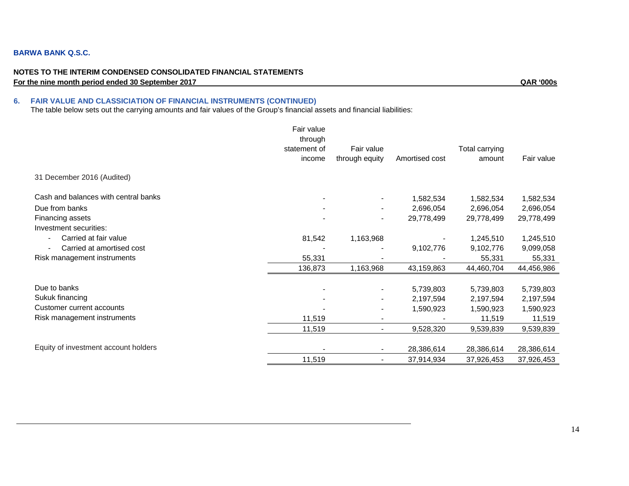#### **NOTES TO THE INTERIM CONDENSED CONSOLIDATED FINANCIAL STATEMENTS For the nine month period ended 30 September 2017 QAR '000s**

#### **6. FAIR VALUE AND CLASSICIATION OF FINANCIAL INSTRUMENTS (CONTINUED)**

The table below sets out the carrying amounts and fair values of the Group's financial assets and financial liabilities:

|                                      | Fair value<br>through<br>statement of<br>income | Fair value<br>through equity | Amortised cost | Total carrying<br>amount | Fair value |
|--------------------------------------|-------------------------------------------------|------------------------------|----------------|--------------------------|------------|
| 31 December 2016 (Audited)           |                                                 |                              |                |                          |            |
| Cash and balances with central banks |                                                 |                              | 1,582,534      | 1,582,534                | 1,582,534  |
| Due from banks                       |                                                 |                              | 2,696,054      | 2,696,054                | 2,696,054  |
| Financing assets                     |                                                 |                              | 29,778,499     | 29,778,499               | 29,778,499 |
| Investment securities:               |                                                 |                              |                |                          |            |
| Carried at fair value                | 81,542                                          | 1,163,968                    |                | 1,245,510                | 1,245,510  |
| Carried at amortised cost            |                                                 |                              | 9,102,776      | 9,102,776                | 9,099,058  |
| Risk management instruments          | 55,331                                          |                              |                | 55,331                   | 55,331     |
|                                      | 136,873                                         | 1,163,968                    | 43,159,863     | 44,460,704               | 44,456,986 |
| Due to banks                         |                                                 |                              | 5,739,803      | 5,739,803                | 5,739,803  |
| Sukuk financing                      |                                                 | $\overline{\phantom{a}}$     | 2,197,594      | 2,197,594                | 2,197,594  |
| Customer current accounts            |                                                 |                              | 1,590,923      | 1,590,923                | 1,590,923  |
| Risk management instruments          | 11,519                                          | $\overline{\phantom{a}}$     |                | 11,519                   | 11,519     |
|                                      | 11,519                                          | $\blacksquare$               | 9,528,320      | 9,539,839                | 9,539,839  |
| Equity of investment account holders |                                                 |                              | 28,386,614     | 28,386,614               |            |
|                                      |                                                 |                              |                |                          | 28,386,614 |
|                                      | 11,519                                          |                              | 37,914,934     | 37,926,453               | 37,926,453 |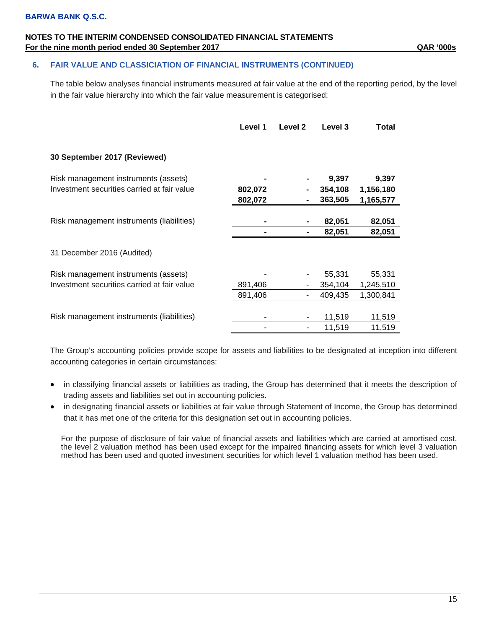# **6. FAIR VALUE AND CLASSICIATION OF FINANCIAL INSTRUMENTS (CONTINUED)**

The table below analyses financial instruments measured at fair value at the end of the reporting period, by the level in the fair value hierarchy into which the fair value measurement is categorised:

|                                             | Level 1 | Level 2 | Level 3          | Total            |
|---------------------------------------------|---------|---------|------------------|------------------|
| 30 September 2017 (Reviewed)                |         |         |                  |                  |
| Risk management instruments (assets)        |         |         | 9,397            | 9,397            |
| Investment securities carried at fair value | 802,072 |         | 354,108          | 1,156,180        |
|                                             | 802,072 |         | 363,505          | 1,165,577        |
| Risk management instruments (liabilities)   |         |         | 82,051<br>82,051 | 82,051<br>82,051 |
| 31 December 2016 (Audited)                  |         |         |                  |                  |
| Risk management instruments (assets)        |         |         | 55,331           | 55,331           |
| Investment securities carried at fair value | 891,406 |         | 354,104          | 1,245,510        |
|                                             | 891,406 |         | 409,435          | 1,300,841        |
| Risk management instruments (liabilities)   |         |         | 11,519           | 11,519           |
|                                             |         |         | 11,519           | 11,519           |

The Group's accounting policies provide scope for assets and liabilities to be designated at inception into different accounting categories in certain circumstances:

- in classifying financial assets or liabilities as trading, the Group has determined that it meets the description of trading assets and liabilities set out in accounting policies.
- in designating financial assets or liabilities at fair value through Statement of Income, the Group has determined that it has met one of the criteria for this designation set out in accounting policies.

For the purpose of disclosure of fair value of financial assets and liabilities which are carried at amortised cost, the level 2 valuation method has been used except for the impaired financing assets for which level 3 valuation method has been used and quoted investment securities for which level 1 valuation method has been used.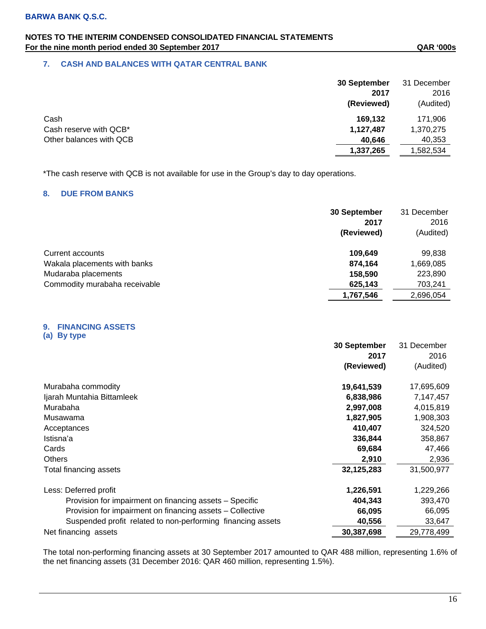# **7. CASH AND BALANCES WITH QATAR CENTRAL BANK**

|                         | 30 September | 31 December |
|-------------------------|--------------|-------------|
|                         | 2017         | 2016        |
|                         | (Reviewed)   | (Audited)   |
| Cash                    | 169,132      | 171,906     |
| Cash reserve with QCB*  | 1,127,487    | 1,370,275   |
| Other balances with QCB | 40,646       | 40,353      |
|                         | 1,337,265    | 1,582,534   |

\*The cash reserve with QCB is not available for use in the Group's day to day operations.

# **8. DUE FROM BANKS**

|                               | 30 September<br>2017<br>(Reviewed) | 31 December<br>2016<br>(Audited) |
|-------------------------------|------------------------------------|----------------------------------|
| Current accounts              | 109,649                            | 99,838                           |
| Wakala placements with banks  | 874,164                            | 1,669,085                        |
| Mudaraba placements           | 158,590                            | 223,890                          |
| Commodity murabaha receivable | 625,143                            | 703,241                          |
|                               | 1,767,546                          | 2,696,054                        |

#### **9. FINANCING ASSETS (a) By type**

**30 September 2017 (Reviewed)** 31 December 2016 (Audited) Murabaha commodity **19,641,539** 17,695,609 Ijarah Muntahia Bittamleek **6,838,986** 7,147,457 Murabaha **2,997,008** 4,015,819 Musawama **1,827,905** 1,908,303 Acceptances **410,407** 324,520 Istisna'a **336,844** 358,867 Cards **69,684** 47,466 Others **2,910** 2,936 Total financing assets **32,125,283** 31,500,977 Less: Deferred profit **1,226,591** 1,229,266 Provision for impairment on financing assets – Specific **404,343** 393,470 Provision for impairment on financing assets – Collective **66,095 66,095 66,095 66,095**  Suspended profit related to non-performing financing assets **40,556** 33,647 Net financing assets **30,387,698** 29,778,499

The total non-performing financing assets at 30 September 2017 amounted to QAR 488 million, representing 1.6% of the net financing assets (31 December 2016: QAR 460 million, representing 1.5%).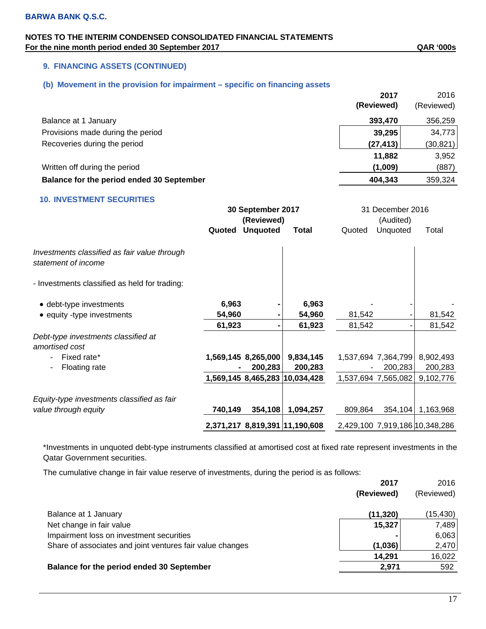# **9. FINANCING ASSETS (CONTINUED)**

# **(b) Movement in the provision for impairment – specific on financing assets**

|                                           | 2017<br>(Reviewed) | 2016<br>(Reviewed) |
|-------------------------------------------|--------------------|--------------------|
| Balance at 1 January                      | 393,470            | 356,259            |
| Provisions made during the period         | 39,295             | 34,773             |
| Recoveries during the period              | (27, 413)          | (30, 821)          |
|                                           | 11.882             | 3,952              |
| Written off during the period             | (1,009)            | (887)              |
| Balance for the period ended 30 September | 404.343            | 359,324            |

# **10. INVESTMENT SECURITIES**

|                                                                     | 30 September 2017<br>(Reviewed) |                     | 31 December 2016<br>(Audited)  |         |                     |                                |
|---------------------------------------------------------------------|---------------------------------|---------------------|--------------------------------|---------|---------------------|--------------------------------|
|                                                                     | Quoted                          | <b>Unquoted</b>     | <b>Total</b>                   | Quoted  | Unquoted            | Total                          |
| Investments classified as fair value through<br>statement of income |                                 |                     |                                |         |                     |                                |
| - Investments classified as held for trading:                       |                                 |                     |                                |         |                     |                                |
| • debt-type investments                                             | 6,963                           |                     | 6,963                          |         |                     |                                |
| • equity -type investments                                          | 54,960                          |                     | 54,960                         | 81,542  |                     | 81,542                         |
|                                                                     | 61,923                          |                     | 61,923                         | 81,542  | -                   | 81,542                         |
| Debt-type investments classified at<br>amortised cost               |                                 |                     |                                |         |                     |                                |
| Fixed rate*                                                         |                                 | 1,569,145 8,265,000 | 9,834,145                      |         | 1,537,694 7,364,799 | 8,902,493                      |
| Floating rate<br>۰                                                  |                                 | 200,283             | 200,283                        |         | 200,283             | 200,283                        |
|                                                                     |                                 |                     | 1,569,145 8,465,283 10,034,428 |         | 1,537,694 7,565,082 | 9,102,776                      |
| Equity-type investments classified as fair                          |                                 |                     |                                |         |                     |                                |
| value through equity                                                | 740,149                         | 354,108             | 1,094,257                      | 809,864 | 354,104             | 1,163,968                      |
|                                                                     |                                 |                     | 2,371,217 8,819,391 11,190,608 |         |                     | 2,429,100 7,919,186 10,348,286 |

\*Investments in unquoted debt-type instruments classified at amortised cost at fixed rate represent investments in the Qatar Government securities.

The cumulative change in fair value reserve of investments, during the period is as follows:

|                                                           | 2017       | 2016       |
|-----------------------------------------------------------|------------|------------|
|                                                           | (Reviewed) | (Reviewed) |
| Balance at 1 January                                      | (11, 320)  | (15,430)   |
| Net change in fair value                                  | 15,327     | 7,489      |
| Impairment loss on investment securities                  |            | 6,063      |
| Share of associates and joint ventures fair value changes | (1,036)    | 2,470      |
|                                                           | 14,291     | 16,022     |
| Balance for the period ended 30 September                 | 2.971      | 592        |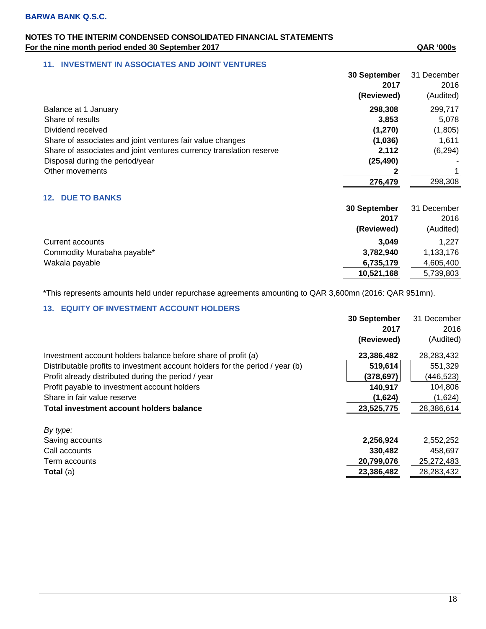# **11. INVESTMENT IN ASSOCIATES AND JOINT VENTURES**

|                                                                     | 30 September<br>2017<br>(Reviewed) | 31 December<br>2016<br>(Audited) |
|---------------------------------------------------------------------|------------------------------------|----------------------------------|
| Balance at 1 January                                                | 298,308                            | 299,717                          |
| Share of results                                                    | 3,853                              | 5,078                            |
| Dividend received                                                   | (1,270)                            | (1,805)                          |
| Share of associates and joint ventures fair value changes           | (1,036)                            | 1,611                            |
| Share of associates and joint ventures currency translation reserve | 2,112                              | (6, 294)                         |
| Disposal during the period/year                                     | (25, 490)                          |                                  |
| Other movements                                                     |                                    |                                  |
|                                                                     | 276,479                            | 298,308                          |

# **12. DUE TO BANKS**

|                             | 30 September | 31 December |
|-----------------------------|--------------|-------------|
|                             | 2017         | 2016        |
|                             | (Reviewed)   | (Audited)   |
| Current accounts            | 3.049        | 1.227       |
| Commodity Murabaha payable* | 3,782,940    | 1,133,176   |
| Wakala payable              | 6,735,179    | 4,605,400   |
|                             | 10,521,168   | 5,739,803   |

\*This represents amounts held under repurchase agreements amounting to QAR 3,600mn (2016: QAR 951mn).

# **13. EQUITY OF INVESTMENT ACCOUNT HOLDERS**

|                                                                               | 30 September | 31 December |
|-------------------------------------------------------------------------------|--------------|-------------|
|                                                                               | 2017         | 2016        |
|                                                                               | (Reviewed)   | (Audited)   |
| Investment account holders balance before share of profit (a)                 | 23,386,482   | 28,283,432  |
| Distributable profits to investment account holders for the period / year (b) | 519,614      | 551,329     |
| Profit already distributed during the period / year                           | (378, 697)   | (446,523)   |
| Profit payable to investment account holders                                  | 140,917      | 104,806     |
| Share in fair value reserve                                                   | (1,624)      | (1,624)     |
| Total investment account holders balance                                      | 23,525,775   | 28,386,614  |
| By type:                                                                      |              |             |
| Saving accounts                                                               | 2,256,924    | 2,552,252   |
| Call accounts                                                                 | 330,482      | 458,697     |
| Term accounts                                                                 | 20,799,076   | 25,272,483  |
| Total (a)                                                                     | 23,386,482   | 28,283,432  |
|                                                                               |              |             |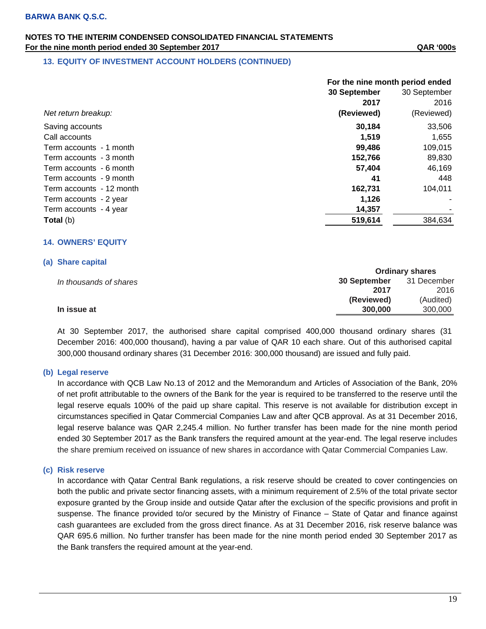## **13. EQUITY OF INVESTMENT ACCOUNT HOLDERS (CONTINUED)**

|                          | For the nine month period ended |              |  |
|--------------------------|---------------------------------|--------------|--|
|                          | 30 September                    | 30 September |  |
|                          | 2017                            | 2016         |  |
| Net return breakup:      | (Reviewed)                      | (Reviewed)   |  |
| Saving accounts          | 30.184                          | 33,506       |  |
| Call accounts            | 1.519                           | 1,655        |  |
| Term accounts - 1 month  | 99,486                          | 109,015      |  |
| Term accounts - 3 month  | 152,766                         | 89,830       |  |
| Term accounts - 6 month  | 57,404                          | 46,169       |  |
| Term accounts - 9 month  | 41                              | 448          |  |
| Term accounts - 12 month | 162,731                         | 104,011      |  |
| Term accounts - 2 year   | 1,126                           |              |  |
| Term accounts - 4 year   | 14,357                          |              |  |
| Total (b)                | 519,614                         | 384,634      |  |

## **14. OWNERS' EQUITY**

#### **(a) Share capital**

|                        | <b>Ordinary shares</b> |             |
|------------------------|------------------------|-------------|
| In thousands of shares | 30 September           | 31 December |
|                        | 2017                   | 2016        |
|                        | (Reviewed)             | (Audited)   |
| In issue at            | 300,000                | 300,000     |
|                        |                        |             |

At 30 September 2017, the authorised share capital comprised 400,000 thousand ordinary shares (31 December 2016: 400,000 thousand), having a par value of QAR 10 each share. Out of this authorised capital 300,000 thousand ordinary shares (31 December 2016: 300,000 thousand) are issued and fully paid.

## **(b) Legal reserve**

In accordance with QCB Law No.13 of 2012 and the Memorandum and Articles of Association of the Bank, 20% of net profit attributable to the owners of the Bank for the year is required to be transferred to the reserve until the legal reserve equals 100% of the paid up share capital. This reserve is not available for distribution except in circumstances specified in Qatar Commercial Companies Law and after QCB approval. As at 31 December 2016, legal reserve balance was QAR 2,245.4 million. No further transfer has been made for the nine month period ended 30 September 2017 as the Bank transfers the required amount at the year-end. The legal reserve includes the share premium received on issuance of new shares in accordance with Qatar Commercial Companies Law.

#### **(c) Risk reserve**

In accordance with Qatar Central Bank regulations, a risk reserve should be created to cover contingencies on both the public and private sector financing assets, with a minimum requirement of 2.5% of the total private sector exposure granted by the Group inside and outside Qatar after the exclusion of the specific provisions and profit in suspense. The finance provided to/or secured by the Ministry of Finance – State of Qatar and finance against cash guarantees are excluded from the gross direct finance. As at 31 December 2016, risk reserve balance was QAR 695.6 million. No further transfer has been made for the nine month period ended 30 September 2017 as the Bank transfers the required amount at the year-end.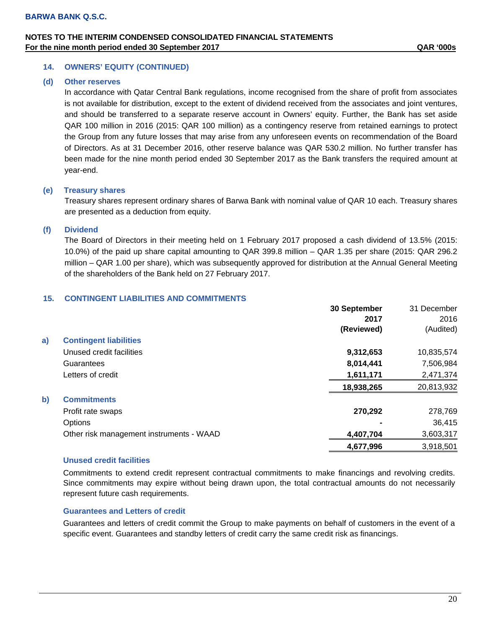# **14. OWNERS' EQUITY (CONTINUED)**

#### **(d) Other reserves**

In accordance with Qatar Central Bank regulations, income recognised from the share of profit from associates is not available for distribution, except to the extent of dividend received from the associates and joint ventures, and should be transferred to a separate reserve account in Owners' equity. Further, the Bank has set aside QAR 100 million in 2016 (2015: QAR 100 million) as a contingency reserve from retained earnings to protect the Group from any future losses that may arise from any unforeseen events on recommendation of the Board of Directors. As at 31 December 2016, other reserve balance was QAR 530.2 million. No further transfer has been made for the nine month period ended 30 September 2017 as the Bank transfers the required amount at year-end.

## **(e) Treasury shares**

Treasury shares represent ordinary shares of Barwa Bank with nominal value of QAR 10 each. Treasury shares are presented as a deduction from equity.

# **(f) Dividend**

The Board of Directors in their meeting held on 1 February 2017 proposed a cash dividend of 13.5% (2015: 10.0%) of the paid up share capital amounting to QAR 399.8 million – QAR 1.35 per share (2015: QAR 296.2 million – QAR 1.00 per share), which was subsequently approved for distribution at the Annual General Meeting of the shareholders of the Bank held on 27 February 2017.

# **15. CONTINGENT LIABILITIES AND COMMITMENTS**

|    |                                          | 30 September | 31 December |
|----|------------------------------------------|--------------|-------------|
|    |                                          | 2017         | 2016        |
|    |                                          | (Reviewed)   | (Audited)   |
| a) | <b>Contingent liabilities</b>            |              |             |
|    | Unused credit facilities                 | 9,312,653    | 10,835,574  |
|    | Guarantees                               | 8,014,441    | 7,506,984   |
|    | Letters of credit                        | 1,611,171    | 2,471,374   |
|    |                                          | 18,938,265   | 20,813,932  |
| b) | <b>Commitments</b>                       |              |             |
|    | Profit rate swaps                        | 270,292      | 278,769     |
|    | Options                                  |              | 36,415      |
|    | Other risk management instruments - WAAD | 4,407,704    | 3,603,317   |
|    |                                          | 4,677,996    | 3,918,501   |

# **Unused credit facilities**

Commitments to extend credit represent contractual commitments to make financings and revolving credits. Since commitments may expire without being drawn upon, the total contractual amounts do not necessarily represent future cash requirements.

## **Guarantees and Letters of credit**

Guarantees and letters of credit commit the Group to make payments on behalf of customers in the event of a specific event. Guarantees and standby letters of credit carry the same credit risk as financings.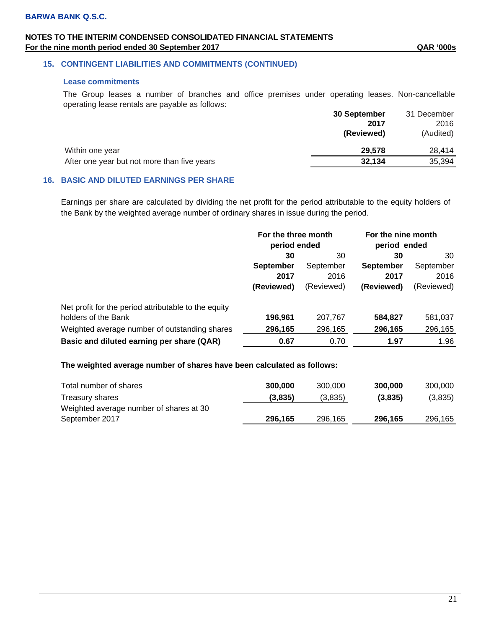# **15. CONTINGENT LIABILITIES AND COMMITMENTS (CONTINUED)**

#### **Lease commitments**

The Group leases a number of branches and office premises under operating leases. Non-cancellable operating lease rentals are payable as follows:

|                                             | 30 September | 31 December |
|---------------------------------------------|--------------|-------------|
|                                             | 2017         | 2016        |
|                                             | (Reviewed)   | (Audited)   |
| Within one year                             | 29.578       | 28,414      |
| After one year but not more than five years | 32.134       | 35,394      |

# **16. BASIC AND DILUTED EARNINGS PER SHARE**

Earnings per share are calculated by dividing the net profit for the period attributable to the equity holders of the Bank by the weighted average number of ordinary shares in issue during the period.

|                                                      | For the three month<br>period ended |            | For the nine month<br>period ended |            |
|------------------------------------------------------|-------------------------------------|------------|------------------------------------|------------|
|                                                      | 30                                  | 30         | 30                                 | 30         |
|                                                      | <b>September</b>                    | September  | <b>September</b>                   | September  |
|                                                      | 2017                                | 2016       | 2017                               | 2016       |
|                                                      | (Reviewed)                          | (Reviewed) | (Reviewed)                         | (Reviewed) |
| Net profit for the period attributable to the equity |                                     |            |                                    |            |
| holders of the Bank                                  | 196,961                             | 207,767    | 584,827                            | 581,037    |
| Weighted average number of outstanding shares        | 296,165                             | 296,165    | 296,165                            | 296,165    |
| Basic and diluted earning per share (QAR)            | 0.67                                | 0.70       | 1.97                               | 1.96       |

## **The weighted average number of shares have been calculated as follows:**

| Total number of shares                  | 300,000 | 300,000 | 300,000 | 300,000 |
|-----------------------------------------|---------|---------|---------|---------|
| Treasury shares                         | (3,835) | (3.835) | (3,835) | (3,835) |
| Weighted average number of shares at 30 |         |         |         |         |
| September 2017                          | 296,165 | 296,165 | 296,165 | 296,165 |